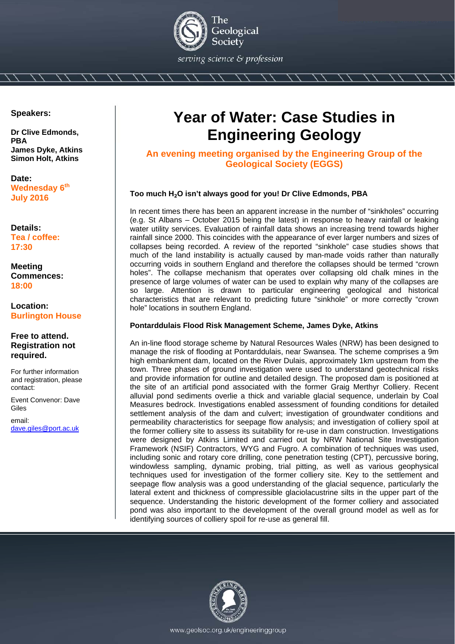

**Speakers:** 

**Dr Clive Edmonds, PBA James Dyke, Atkins Simon Holt, Atkins**

**Date: Wednesday 6th July 2016** 

**Details: Tea / coffee: 17:30** 

**Meeting Commences: 18:00** 

**Location: Burlington House** 

### **Free to attend. Registration not required.**

For further information and registration, please contact:

Event Convenor: Dave Giles

email: dave.giles@port.ac.uk

# **Year of Water: Case Studies in Engineering Geology**

**An evening meeting organised by the Engineering Group of the Geological Society (EGGS)** 

## **Too much H**₂**O isn't always good for you! Dr Clive Edmonds, PBA**

In recent times there has been an apparent increase in the number of "sinkholes" occurring (e.g. St Albans – October 2015 being the latest) in response to heavy rainfall or leaking water utility services. Evaluation of rainfall data shows an increasing trend towards higher rainfall since 2000. This coincides with the appearance of ever larger numbers and sizes of collapses being recorded. A review of the reported "sinkhole" case studies shows that much of the land instability is actually caused by man-made voids rather than naturally occurring voids in southern England and therefore the collapses should be termed "crown holes". The collapse mechanism that operates over collapsing old chalk mines in the presence of large volumes of water can be used to explain why many of the collapses are so large. Attention is drawn to particular engineering geological and historical characteristics that are relevant to predicting future "sinkhole" or more correctly "crown hole" locations in southern England.

### **Pontarddulais Flood Risk Management Scheme, James Dyke, Atkins**

An in-line flood storage scheme by Natural Resources Wales (NRW) has been designed to manage the risk of flooding at Pontarddulais, near Swansea. The scheme comprises a 9m high embankment dam, located on the River Dulais, approximately 1km upstream from the town. Three phases of ground investigation were used to understand geotechnical risks and provide information for outline and detailed design. The proposed dam is positioned at the site of an artificial pond associated with the former Graig Merthyr Colliery. Recent alluvial pond sediments overlie a thick and variable glacial sequence, underlain by Coal Measures bedrock. Investigations enabled assessment of founding conditions for detailed settlement analysis of the dam and culvert; investigation of groundwater conditions and permeability characteristics for seepage flow analysis; and investigation of colliery spoil at the former colliery site to assess its suitability for re-use in dam construction. Investigations were designed by Atkins Limited and carried out by NRW National Site Investigation Framework (NSIF) Contractors, WYG and Fugro. A combination of techniques was used, including sonic and rotary core drilling, cone penetration testing (CPT), percussive boring, windowless sampling, dynamic probing, trial pitting, as well as various geophysical techniques used for investigation of the former colliery site. Key to the settlement and seepage flow analysis was a good understanding of the glacial sequence, particularly the lateral extent and thickness of compressible glaciolacustrine silts in the upper part of the sequence. Understanding the historic development of the former colliery and associated pond was also important to the development of the overall ground model as well as for identifying sources of colliery spoil for re-use as general fill.